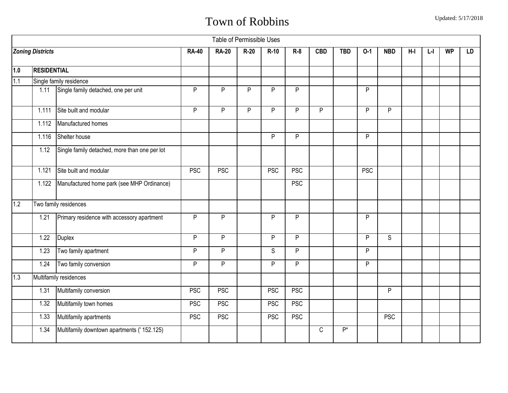|                  |                         |                                               |              | Table of Permissible Uses |        |            |            |              |            |            |              |       |    |           |    |
|------------------|-------------------------|-----------------------------------------------|--------------|---------------------------|--------|------------|------------|--------------|------------|------------|--------------|-------|----|-----------|----|
|                  | <b>Zoning Districts</b> |                                               | <b>RA-40</b> | <b>RA-20</b>              | $R-20$ | $R-10$     | $R-8$      | <b>CBD</b>   | <b>TBD</b> | $O-1$      | <b>NBD</b>   | $H-I$ | ĿГ | <b>WP</b> | LD |
| 1.0              | <b>RESIDENTIAL</b>      |                                               |              |                           |        |            |            |              |            |            |              |       |    |           |    |
| $\overline{1.1}$ |                         | Single family residence                       |              |                           |        |            |            |              |            |            |              |       |    |           |    |
|                  | 1.11                    | Single family detached, one per unit          | P            | P                         | P      | P          | P          |              |            | P          |              |       |    |           |    |
|                  | 1.111                   | Site built and modular                        | P            | P                         | P      | P          | P          | P            |            | P          | P            |       |    |           |    |
|                  | 1.112                   | Manufactured homes                            |              |                           |        |            |            |              |            |            |              |       |    |           |    |
|                  | 1.116                   | Shelter house                                 |              |                           |        | P          | P          |              |            | P          |              |       |    |           |    |
|                  | 1.12                    | Single family detached, more than one per lot |              |                           |        |            |            |              |            |            |              |       |    |           |    |
|                  | 1.121                   | Site built and modular                        | <b>PSC</b>   | <b>PSC</b>                |        | <b>PSC</b> | <b>PSC</b> |              |            | <b>PSC</b> |              |       |    |           |    |
|                  | 1.122                   | Manufactured home park (see MHP Ordinance)    |              |                           |        |            | <b>PSC</b> |              |            |            |              |       |    |           |    |
| 1.2              |                         | Two family residences                         |              |                           |        |            |            |              |            |            |              |       |    |           |    |
|                  | 1.21                    | Primary residence with accessory apartment    | P            | P                         |        | P          | P          |              |            | P          |              |       |    |           |    |
|                  | 1.22                    | <b>Duplex</b>                                 | P            | P                         |        | P          | P          |              |            | P          | $\mathsf{S}$ |       |    |           |    |
|                  | 1.23                    | Two family apartment                          | P            | P                         |        | S          | P          |              |            | P          |              |       |    |           |    |
|                  | 1.24                    | Two family conversion                         | P            | P                         |        | P          | ${\sf P}$  |              |            | P          |              |       |    |           |    |
| 1.3              |                         | Multifamily residences                        |              |                           |        |            |            |              |            |            |              |       |    |           |    |
|                  | 1.31                    | Multifamily conversion                        | <b>PSC</b>   | <b>PSC</b>                |        | <b>PSC</b> | <b>PSC</b> |              |            |            | P            |       |    |           |    |
|                  | 1.32                    | Multifamily town homes                        | <b>PSC</b>   | <b>PSC</b>                |        | <b>PSC</b> | <b>PSC</b> |              |            |            |              |       |    |           |    |
|                  | 1.33                    | Multifamily apartments                        | <b>PSC</b>   | <b>PSC</b>                |        | <b>PSC</b> | <b>PSC</b> |              |            |            | <b>PSC</b>   |       |    |           |    |
|                  | 1.34                    | Multifamily downtown apartments (' 152.125)   |              |                           |        |            |            | $\mathsf{C}$ | $P^*$      |            |              |       |    |           |    |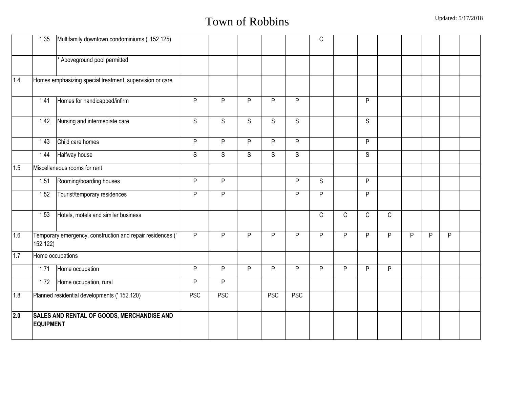|                  | 1.35             | Multifamily downtown condominiums (' 152.125)              |              |                |                |                |            | $\mathsf C$ |   |             |             |   |   |   |  |
|------------------|------------------|------------------------------------------------------------|--------------|----------------|----------------|----------------|------------|-------------|---|-------------|-------------|---|---|---|--|
|                  |                  | Aboveground pool permitted                                 |              |                |                |                |            |             |   |             |             |   |   |   |  |
| 1.4              |                  | Homes emphasizing special treatment, supervision or care   |              |                |                |                |            |             |   |             |             |   |   |   |  |
|                  | 1.41             | Homes for handicapped/infirm                               | P            | P              | P              | P              | P          |             |   | P           |             |   |   |   |  |
|                  | 1.42             | Nursing and intermediate care                              | $\mathsf{S}$ | $\overline{S}$ | $\overline{s}$ | $\overline{S}$ | S          |             |   | S           |             |   |   |   |  |
|                  | 1.43             | Child care homes                                           | P            | P              | P              | P              | P          |             |   | P           |             |   |   |   |  |
|                  | 1.44             | Halfway house                                              | S            | S              | S              | S              | S          |             |   | S           |             |   |   |   |  |
| 1.5              |                  | Miscellaneous rooms for rent                               |              |                |                |                |            |             |   |             |             |   |   |   |  |
|                  | 1.51             | Rooming/boarding houses                                    | P            | $\overline{P}$ |                |                | P          | S           |   | P           |             |   |   |   |  |
|                  | 1.52             | Tourist/temporary residences                               | P            | $\overline{P}$ |                |                | P          | P           |   | P           |             |   |   |   |  |
|                  | 1.53             | Hotels, motels and similar business                        |              |                |                |                |            | $\mathsf C$ | C | $\mathsf C$ | $\mathsf C$ |   |   |   |  |
| 1.6              | 152.122)         | Temporary emergency, construction and repair residences (' | P            | P              | P              | P              | P          | P           | P | P           | P           | P | P | P |  |
| 1.7              |                  | Home occupations                                           |              |                |                |                |            |             |   |             |             |   |   |   |  |
|                  | 1.71             | Home occupation                                            | P            | P              | P              | P              | P          | P           | P | P           | ${\sf P}$   |   |   |   |  |
|                  | 1.72             | Home occupation, rural                                     | P            | P              |                |                |            |             |   |             |             |   |   |   |  |
| 1.8              |                  | Planned residential developments (' 152.120)               | <b>PSC</b>   | <b>PSC</b>     |                | <b>PSC</b>     | <b>PSC</b> |             |   |             |             |   |   |   |  |
| $\overline{2.0}$ | <b>EQUIPMENT</b> | SALES AND RENTAL OF GOODS, MERCHANDISE AND                 |              |                |                |                |            |             |   |             |             |   |   |   |  |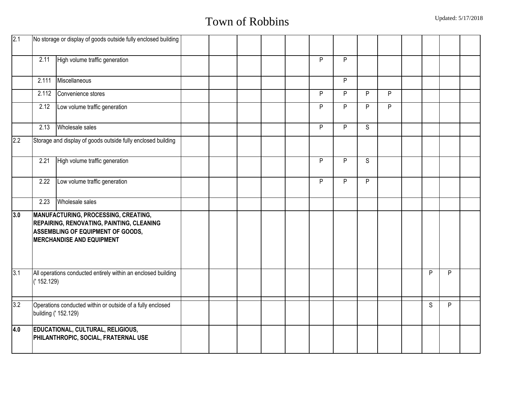| 2.1              |            | No storage or display of goods outside fully enclosed building                                                                                                    |  |  |                |                |                |                |              |   |  |
|------------------|------------|-------------------------------------------------------------------------------------------------------------------------------------------------------------------|--|--|----------------|----------------|----------------|----------------|--------------|---|--|
|                  | 2.11       | High volume traffic generation                                                                                                                                    |  |  | P              | P              |                |                |              |   |  |
|                  | 2.111      | Miscellaneous                                                                                                                                                     |  |  |                | P              |                |                |              |   |  |
|                  | 2.112      | Convenience stores                                                                                                                                                |  |  | P              | P              | P              | P              |              |   |  |
|                  | 2.12       | Low volume traffic generation                                                                                                                                     |  |  | $\overline{P}$ | $\overline{P}$ | $\overline{P}$ | $\overline{P}$ |              |   |  |
|                  | 2.13       | Wholesale sales                                                                                                                                                   |  |  | P              | P              | S              |                |              |   |  |
| 2.2              |            | Storage and display of goods outside fully enclosed building                                                                                                      |  |  |                |                |                |                |              |   |  |
|                  | 2.21       | High volume traffic generation                                                                                                                                    |  |  | P              | P              | S              |                |              |   |  |
|                  | 2.22       | Low volume traffic generation                                                                                                                                     |  |  | P              | P              | P              |                |              |   |  |
|                  | 2.23       | Wholesale sales                                                                                                                                                   |  |  |                |                |                |                |              |   |  |
| 3.0              |            | MANUFACTURING, PROCESSING, CREATING,<br>REPAIRING, RENOVATING, PAINTING, CLEANING<br><b>ASSEMBLING OF EQUIPMENT OF GOODS,</b><br><b>MERCHANDISE AND EQUIPMENT</b> |  |  |                |                |                |                |              |   |  |
| $\overline{3.1}$ | ('152.129) | All operations conducted entirely within an enclosed building                                                                                                     |  |  |                |                |                |                | P            | P |  |
| 3.2              |            | Operations conducted within or outside of a fully enclosed<br>building (' 152.129)                                                                                |  |  |                |                |                |                | $\mathsf{S}$ | P |  |
| 4.0              |            | <b>EDUCATIONAL, CULTURAL, RELIGIOUS,</b><br>PHILANTHROPIC, SOCIAL, FRATERNAL USE                                                                                  |  |  |                |                |                |                |              |   |  |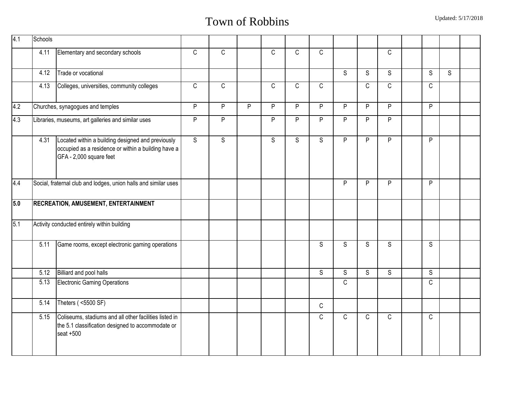| 4.1 | Schools |                                                                                                                                     |                |                |   |              |                |                |                |                |                |              |   |  |
|-----|---------|-------------------------------------------------------------------------------------------------------------------------------------|----------------|----------------|---|--------------|----------------|----------------|----------------|----------------|----------------|--------------|---|--|
|     | 4.11    | Elementary and secondary schools                                                                                                    | $\mathsf C$    | $\mathsf C$    |   | $\mathsf{C}$ | C              | $\mathsf C$    |                |                | $\mathsf C$    |              |   |  |
|     | 4.12    | Trade or vocational                                                                                                                 |                |                |   |              |                |                | $\overline{s}$ | $\overline{s}$ | S              | S            | S |  |
|     | 4.13    | Colleges, universities, community colleges                                                                                          | C              | $\mathsf C$    |   | $\mathsf{C}$ | C              | $\mathsf{C}$   |                | $\mathsf C$    | $\mathsf C$    | $\mathsf{C}$ |   |  |
| 4.2 |         | Churches, synagogues and temples                                                                                                    | P              | P              | P | P            | P              | P              | P              | P              | P              | P            |   |  |
| 4.3 |         | Libraries, museums, art galleries and similar uses                                                                                  | P              | P              |   | P            | P              | P              | P              | P              | P              |              |   |  |
|     | 4.31    | Located within a building designed and previously<br>occupied as a residence or within a building have a<br>GFA - 2,000 square feet | $\overline{s}$ | $\overline{s}$ |   | $\mathsf S$  | $\overline{s}$ | $\overline{s}$ | $\overline{P}$ | $\overline{P}$ | $\overline{P}$ | P            |   |  |
| 4.4 |         | Social, fraternal club and lodges, union halls and similar uses                                                                     |                |                |   |              |                |                | P              | P              | P              | P            |   |  |
| 5.0 |         | RECREATION, AMUSEMENT, ENTERTAINMENT                                                                                                |                |                |   |              |                |                |                |                |                |              |   |  |
| 5.1 |         | Activity conducted entirely within building                                                                                         |                |                |   |              |                |                |                |                |                |              |   |  |
|     | 5.11    | Game rooms, except electronic gaming operations                                                                                     |                |                |   |              |                | <sub>S</sub>   | S              | S              | S              | S            |   |  |
|     | 5.12    | Billiard and pool halls                                                                                                             |                |                |   |              |                | S              | S              | S              | S              | S            |   |  |
|     | 5.13    | <b>Electronic Gaming Operations</b>                                                                                                 |                |                |   |              |                |                | $\mathsf{C}$   |                |                | $\mathsf C$  |   |  |
|     | 5.14    | Theters ( < 500 SF)                                                                                                                 |                |                |   |              |                | $\mathsf{C}$   |                |                |                |              |   |  |
|     | 5.15    | Coliseums, stadiums and all other facilities listed in<br>the 5.1 classification designed to accommodate or<br>$seat + 500$         |                |                |   |              |                | $\mathsf{C}$   | $\mathsf{C}$   | $\mathsf C$    | $\mathsf{C}$   | $\mathsf C$  |   |  |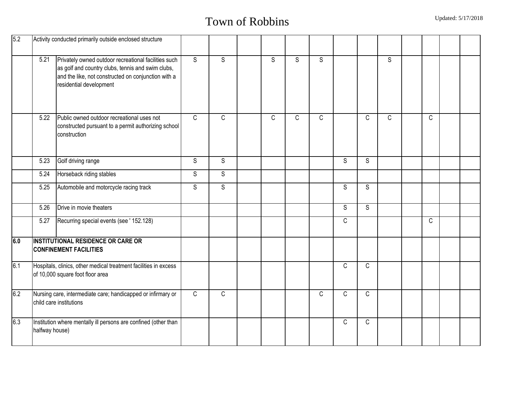| 5.2 |                | Activity conducted primarily outside enclosed structure                                                                                                                                     |                |              |              |              |              |              |              |                |              |  |
|-----|----------------|---------------------------------------------------------------------------------------------------------------------------------------------------------------------------------------------|----------------|--------------|--------------|--------------|--------------|--------------|--------------|----------------|--------------|--|
|     | 5.21           | Privately owned outdoor recreational facilities such<br>as golf and country clubs, tennis and swim clubs,<br>and the like, not constructed on conjunction with a<br>residential development | $\overline{S}$ | $\mathsf{S}$ | S            | $\mathsf{S}$ | S            |              |              | $\overline{s}$ |              |  |
|     | 5.22           | Public owned outdoor recreational uses not<br>constructed pursuant to a permit authorizing school<br>construction                                                                           | $\mathsf{C}$   | $\mathsf{C}$ | $\mathsf{C}$ | $\mathsf C$  | $\mathsf{C}$ |              | $\mathbb{C}$ | C              | $\mathsf{C}$ |  |
|     | 5.23           | Golf driving range                                                                                                                                                                          | S              | S            |              |              |              | S            | S            |                |              |  |
|     | 5.24           | Horseback riding stables                                                                                                                                                                    | S              | S            |              |              |              |              |              |                |              |  |
|     | 5.25           | Automobile and motorcycle racing track                                                                                                                                                      | S              | $\mathsf{S}$ |              |              |              | S            | S            |                |              |  |
|     | 5.26           | Drive in movie theaters                                                                                                                                                                     |                |              |              |              |              | S            | S            |                |              |  |
|     | 5.27           | Recurring special events (see ' 152.128)                                                                                                                                                    |                |              |              |              |              | $\mathsf{C}$ |              |                | $\mathsf{C}$ |  |
| 6.0 |                | <b>INSTITUTIONAL RESIDENCE OR CARE OR</b><br><b>CONFINEMENT FACILITIES</b>                                                                                                                  |                |              |              |              |              |              |              |                |              |  |
| 6.1 |                | Hospitals, clinics, other medical treatment facilities in excess<br>of 10,000 square foot floor area                                                                                        |                |              |              |              |              | C            | $\mathsf C$  |                |              |  |
| 6.2 |                | Nursing care, intermediate care; handicapped or infirmary or<br>child care institutions                                                                                                     | $\mathsf{C}$   | $\mathsf C$  |              |              | $\mathsf{C}$ | C            | $\mathbb{C}$ |                |              |  |
| 6.3 | halfway house) | Institution where mentally ill persons are confined (other than                                                                                                                             |                |              |              |              |              | C            | $\mathbb{C}$ |                |              |  |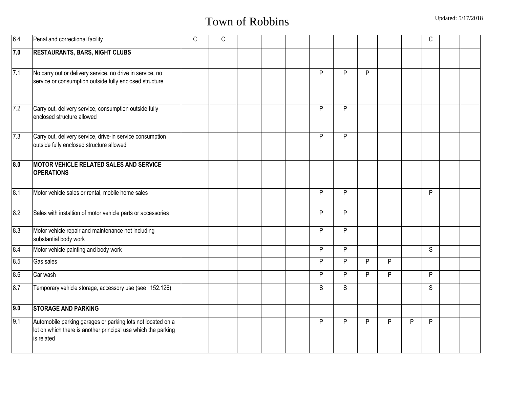| 6.4              | Penal and correctional facility                                                                                                            | C | $\mathsf{C}$ |  |   |              |              |   |   | $\mathsf C$  |  |
|------------------|--------------------------------------------------------------------------------------------------------------------------------------------|---|--------------|--|---|--------------|--------------|---|---|--------------|--|
| 7.0              | <b>RESTAURANTS, BARS, NIGHT CLUBS</b>                                                                                                      |   |              |  |   |              |              |   |   |              |  |
| 7.1              | No carry out or delivery service, no drive in service, no<br>service or consumption outside fully enclosed structure                       |   |              |  | P | P            | P            |   |   |              |  |
| $\overline{7.2}$ | Carry out, delivery service, consumption outside fully<br>enclosed structure allowed                                                       |   |              |  | P | P            |              |   |   |              |  |
| $\overline{7.3}$ | Carry out, delivery service, drive-in service consumption<br>outside fully enclosed structure allowed                                      |   |              |  | P | P            |              |   |   |              |  |
| $\overline{8.0}$ | MOTOR VEHICLE RELATED SALES AND SERVICE<br><b>OPERATIONS</b>                                                                               |   |              |  |   |              |              |   |   |              |  |
| $\overline{8.1}$ | Motor vehicle sales or rental, mobile home sales                                                                                           |   |              |  | P | P            |              |   |   | P            |  |
| 8.2              | Sales with instaltion of motor vehicle parts or accessories                                                                                |   |              |  | P | P            |              |   |   |              |  |
| 8.3              | Motor vehicle repair and maintenance not including<br>substantial body work                                                                |   |              |  | P | P            |              |   |   |              |  |
| 8.4              | Motor vehicle painting and body work                                                                                                       |   |              |  | P | P            |              |   |   | $\mathsf{S}$ |  |
| 8.5              | <b>Gas sales</b>                                                                                                                           |   |              |  | P | P            | P            | P |   |              |  |
| 8.6              | Car wash                                                                                                                                   |   |              |  | P | P            | P            | P |   | P            |  |
| 8.7              | Temporary vehicle storage, accessory use (see ' 152.126)                                                                                   |   |              |  | S | $\mathsf{S}$ |              |   |   | S            |  |
| 9.0              | <b>STORAGE AND PARKING</b>                                                                                                                 |   |              |  |   |              |              |   |   |              |  |
| 9.1              | Automobile parking garages or parking lots not located on a<br>lot on which there is another principal use which the parking<br>is related |   |              |  | P | P            | $\mathsf{P}$ | P | P | P            |  |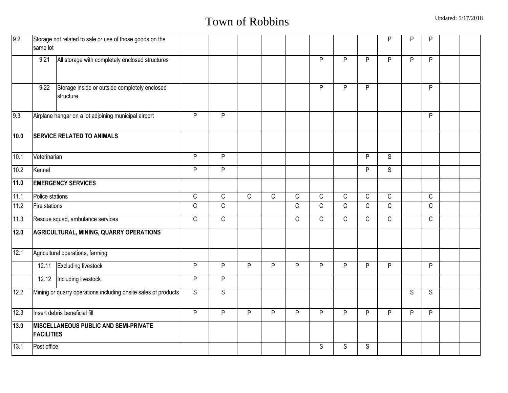| 9.2               | Storage not related to sale or use of those goods on the<br>same lot |              |              |              |             |              |              |              |              | P            | P | P            |  |
|-------------------|----------------------------------------------------------------------|--------------|--------------|--------------|-------------|--------------|--------------|--------------|--------------|--------------|---|--------------|--|
|                   | 9.21<br>All storage with completely enclosed structures              |              |              |              |             |              | P            | P            | P            | P            | P | P            |  |
|                   | Storage inside or outside completely enclosed<br>9.22<br>structure   |              |              |              |             |              | P            | P            | P            |              |   | P            |  |
| 9.3               | Airplane hangar on a lot adjoining municipal airport                 | P            | P            |              |             |              |              |              |              |              |   | P            |  |
| 10.0              | <b>SERVICE RELATED TO ANIMALS</b>                                    |              |              |              |             |              |              |              |              |              |   |              |  |
| 10.1              | Veterinarian                                                         | P            | ${\sf P}$    |              |             |              |              |              | P            | S            |   |              |  |
| 10.2              | Kennel                                                               | P            | P            |              |             |              |              |              | P            | $\mathsf{S}$ |   |              |  |
| $\overline{11.0}$ | <b>EMERGENCY SERVICES</b>                                            |              |              |              |             |              |              |              |              |              |   |              |  |
| 11.1              | Police stations                                                      | $\mathsf C$  | $\mathsf C$  | $\mathsf{C}$ | $\mathsf C$ | $\mathsf C$  | $\mathsf{C}$ | C            | $\mathsf C$  | $\mathsf C$  |   | $\mathsf C$  |  |
| $11.2$            | Fire stations                                                        | $\mathsf C$  | $\mathsf C$  |              |             | $\mathsf C$  | $\mathsf{C}$ | $\mathsf C$  | $\mathsf C$  | $\mathsf C$  |   | $\mathsf C$  |  |
| 11.3              | Rescue squad, ambulance services                                     | $\mathsf{C}$ | $\mathsf{C}$ |              |             | $\mathsf{C}$ | $\mathsf{C}$ | $\mathsf{C}$ | $\mathsf{C}$ | $\mathsf{C}$ |   | $\mathsf{C}$ |  |
| 12.0              | <b>AGRICULTURAL, MINING, QUARRY OPERATIONS</b>                       |              |              |              |             |              |              |              |              |              |   |              |  |
| 12.1              | Agricultural operations, farming                                     |              |              |              |             |              |              |              |              |              |   |              |  |
|                   | 12.11 Excluding livestock                                            | P            | P            | P            | P           | P            | P            | P            | P            | P            |   | P            |  |
|                   | 12.12 Including livestock                                            | P            | ${\sf P}$    |              |             |              |              |              |              |              |   |              |  |
| 12.2              | Mining or quarry operations including onsite sales of products       | S            | S            |              |             |              |              |              |              |              | S | S            |  |
| 12.3              | Insert debris beneficial fill                                        | P            | P            | P            | P           | P            | P            | P            | P            | P            | P | P            |  |
| $\overline{13.0}$ | <b>MISCELLANEOUS PUBLIC AND SEMI-PRIVATE</b><br><b>FACILITIES</b>    |              |              |              |             |              |              |              |              |              |   |              |  |
| 13.1              | Post office                                                          |              |              |              |             |              | S            | S            | S            |              |   |              |  |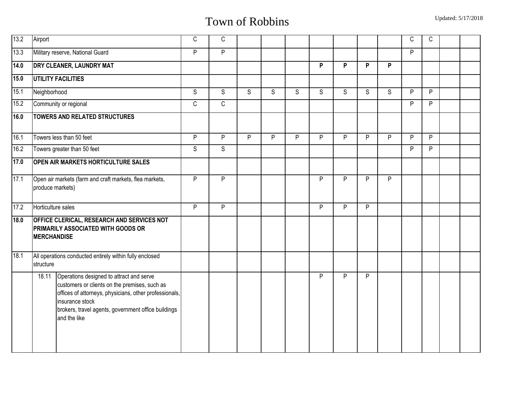| 13.2 | Airport                                                                                                                                                                                                                                                | C | $\mathsf C$ |   |   |   |   |   |   |   | $\mathsf C$ | $\mathsf{C}$ |  |
|------|--------------------------------------------------------------------------------------------------------------------------------------------------------------------------------------------------------------------------------------------------------|---|-------------|---|---|---|---|---|---|---|-------------|--------------|--|
| 13.3 | Military reserve, National Guard                                                                                                                                                                                                                       | P | P           |   |   |   |   |   |   |   | P           |              |  |
| 14.0 | <b>DRY CLEANER, LAUNDRY MAT</b>                                                                                                                                                                                                                        |   |             |   |   |   | P | P | P | P |             |              |  |
| 15.0 | <b>UTILITY FACILITIES</b>                                                                                                                                                                                                                              |   |             |   |   |   |   |   |   |   |             |              |  |
| 15.1 | Neighborhood                                                                                                                                                                                                                                           | S | S           | S | S | S | S | S | S | S | P           | P            |  |
| 15.2 | Community or regional                                                                                                                                                                                                                                  | C | $\mathsf C$ |   |   |   |   |   |   |   | P           | P            |  |
| 16.0 | <b>TOWERS AND RELATED STRUCTURES</b>                                                                                                                                                                                                                   |   |             |   |   |   |   |   |   |   |             |              |  |
| 16.1 | Towers less than 50 feet                                                                                                                                                                                                                               | P | P           | P | P | P | P | P | P | P | P           | P            |  |
| 16.2 | Towers greater than 50 feet                                                                                                                                                                                                                            | S | S           |   |   |   |   |   |   |   | P           | P            |  |
| 17.0 | <b>OPEN AIR MARKETS HORTICULTURE SALES</b>                                                                                                                                                                                                             |   |             |   |   |   |   |   |   |   |             |              |  |
| 17.1 | Open air markets (farm and craft markets, flea markets,<br>produce markets)                                                                                                                                                                            | P | P           |   |   |   | P | P | P | P |             |              |  |
| 17.2 | Horticulture sales                                                                                                                                                                                                                                     | P | P           |   |   |   | P | P | P |   |             |              |  |
| 18.0 | <b>OFFICE CLERICAL, RESEARCH AND SERVICES NOT</b><br><b>PRIMARILY ASSOCIATED WITH GOODS OR</b><br><b>MERCHANDISE</b>                                                                                                                                   |   |             |   |   |   |   |   |   |   |             |              |  |
| 18.1 | All operations conducted entirely within fully enclosed<br>structure                                                                                                                                                                                   |   |             |   |   |   |   |   |   |   |             |              |  |
|      | Operations designed to attract and serve<br>18.11<br>customers or clients on the premises, such as<br>offices of attorneys, physicians, other professionals,<br>insurance stock<br>brokers, travel agents, government office buildings<br>and the like |   |             |   |   |   | P | P | P |   |             |              |  |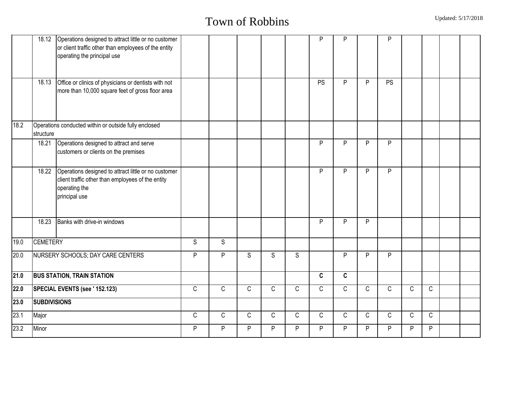|      |                     | 18.12 Operations designed to attract little or no customer<br>or client traffic other than employees of the entity<br>operating the principal use |              |              |              |              |              | P            | P            |              | P            |              |              |  |
|------|---------------------|---------------------------------------------------------------------------------------------------------------------------------------------------|--------------|--------------|--------------|--------------|--------------|--------------|--------------|--------------|--------------|--------------|--------------|--|
|      | 18.13               | Office or clinics of physicians or dentists with not<br>more than 10,000 square feet of gross floor area                                          |              |              |              |              |              | <b>PS</b>    | P            | P            | <b>PS</b>    |              |              |  |
| 18.2 | structure           | Operations conducted within or outside fully enclosed                                                                                             |              |              |              |              |              |              |              |              |              |              |              |  |
|      | 18.21               | Operations designed to attract and serve<br>customers or clients on the premises                                                                  |              |              |              |              |              | P            | P            | P            | P            |              |              |  |
|      | 18.22               | Operations designed to attract little or no customer<br>client traffic other than employees of the entity<br>operating the<br>principal use       |              |              |              |              |              | P            | P            | P            | P            |              |              |  |
|      | 18.23               | Banks with drive-in windows                                                                                                                       |              |              |              |              |              | P            | P            | P            |              |              |              |  |
| 19.0 | <b>CEMETERY</b>     |                                                                                                                                                   | S            | $\mathsf{S}$ |              |              |              |              |              |              |              |              |              |  |
| 20.0 |                     | NURSERY SCHOOLS; DAY CARE CENTERS                                                                                                                 | P            | P            | S            | S            | S            |              | P            | P            | ${\sf P}$    |              |              |  |
| 21.0 |                     | <b>BUS STATION, TRAIN STATION</b>                                                                                                                 |              |              |              |              |              | $\mathbf{C}$ | C            |              |              |              |              |  |
| 22.0 |                     | SPECIAL EVENTS (see ' 152.123)                                                                                                                    | $\mathsf{C}$ | $\mathsf{C}$ | $\mathsf{C}$ | $\mathsf{C}$ | $\mathsf C$  | $\mathsf{C}$ | $\mathsf{C}$ | $\mathsf{C}$ | $\mathsf{C}$ | $\mathsf{C}$ | $\mathsf{C}$ |  |
| 23.0 | <b>SUBDIVISIONS</b> |                                                                                                                                                   |              |              |              |              |              |              |              |              |              |              |              |  |
| 23.1 | Major               |                                                                                                                                                   | $\mathsf C$  | $\mathsf{C}$ | $\mathsf{C}$ | $\mathsf{C}$ | $\mathsf{C}$ | $\mathsf{C}$ | $\mathsf{C}$ | $\mathsf{C}$ | $\mathsf{C}$ | $\mathsf{C}$ | $\mathsf{C}$ |  |
| 23.2 | Minor               |                                                                                                                                                   | P            | P            | P            | P            | P            | P            | P            | P            | P            | P            | P            |  |